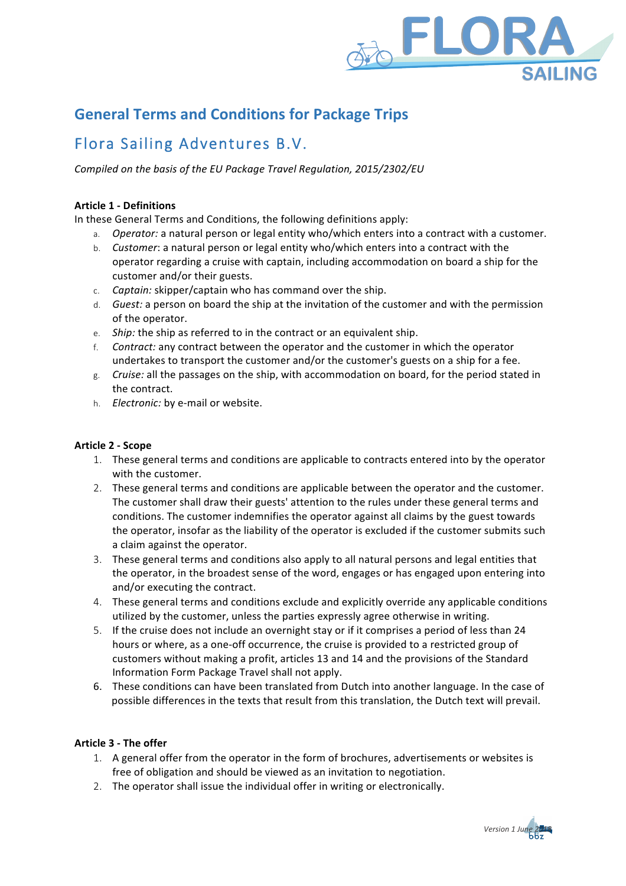

# **General Terms and Conditions for Package Trips**

# Flora Sailing Adventures B.V.

*Compiled on the basis of the EU Package Travel Regulation, 2015/2302/EU* 

## **Article 1 - Definitions**

In these General Terms and Conditions, the following definitions apply:

- a. *Operator:* a natural person or legal entity who/which enters into a contract with a customer.
- b. *Customer*: a natural person or legal entity who/which enters into a contract with the operator regarding a cruise with captain, including accommodation on board a ship for the customer and/or their guests.
- c. *Captain:* skipper/captain who has command over the ship.
- d. *Guest:* a person on board the ship at the invitation of the customer and with the permission of the operator.
- e. *Ship:* the ship as referred to in the contract or an equivalent ship.
- f. Contract: any contract between the operator and the customer in which the operator undertakes to transport the customer and/or the customer's guests on a ship for a fee.
- g. Cruise: all the passages on the ship, with accommodation on board, for the period stated in the contract.
- h. *Electronic:* by e-mail or website.

## **Article 2 - Scope**

- 1. These general terms and conditions are applicable to contracts entered into by the operator with the customer.
- 2. These general terms and conditions are applicable between the operator and the customer. The customer shall draw their guests' attention to the rules under these general terms and conditions. The customer indemnifies the operator against all claims by the guest towards the operator, insofar as the liability of the operator is excluded if the customer submits such a claim against the operator.
- 3. These general terms and conditions also apply to all natural persons and legal entities that the operator, in the broadest sense of the word, engages or has engaged upon entering into and/or executing the contract.
- 4. These general terms and conditions exclude and explicitly override any applicable conditions utilized by the customer, unless the parties expressly agree otherwise in writing.
- 5. If the cruise does not include an overnight stay or if it comprises a period of less than 24 hours or where, as a one-off occurrence, the cruise is provided to a restricted group of customers without making a profit, articles 13 and 14 and the provisions of the Standard Information Form Package Travel shall not apply.
- 6. These conditions can have been translated from Dutch into another language. In the case of possible differences in the texts that result from this translation, the Dutch text will prevail.

## **Article 3 - The offer**

- 1. A general offer from the operator in the form of brochures, advertisements or websites is free of obligation and should be viewed as an invitation to negotiation.
- 2. The operator shall issue the individual offer in writing or electronically.

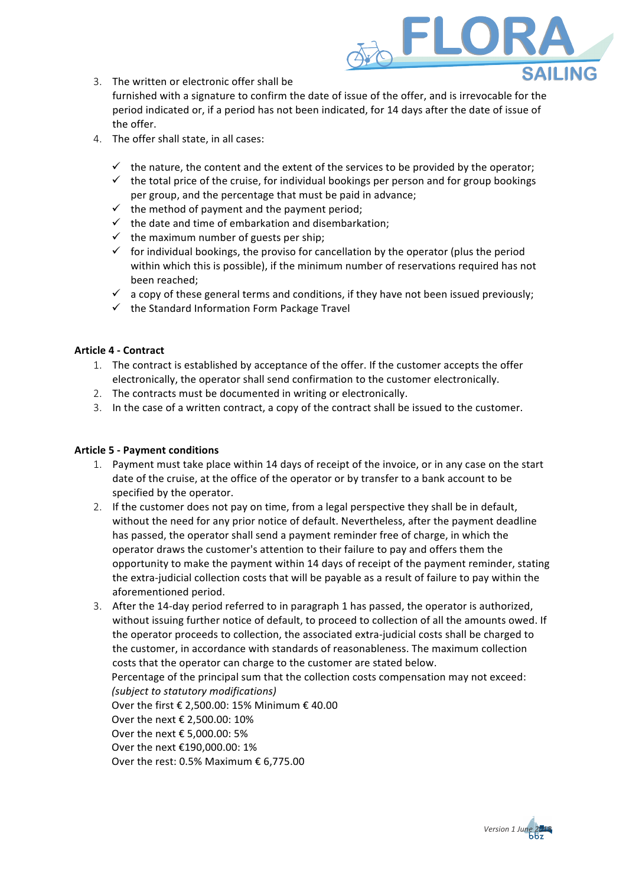

3. The written or electronic offer shall be

furnished with a signature to confirm the date of issue of the offer, and is irrevocable for the period indicated or, if a period has not been indicated, for 14 days after the date of issue of the offer.

- 4. The offer shall state, in all cases:
	- $\checkmark$  the nature, the content and the extent of the services to be provided by the operator;
	- $\checkmark$  the total price of the cruise, for individual bookings per person and for group bookings per group, and the percentage that must be paid in advance;
	- $\checkmark$  the method of payment and the payment period;
	- $\checkmark$  the date and time of embarkation and disembarkation;
	- $\checkmark$  the maximum number of guests per ship;
	- $\checkmark$  for individual bookings, the proviso for cancellation by the operator (plus the period within which this is possible), if the minimum number of reservations required has not been reached;
	- $\checkmark$  a copy of these general terms and conditions, if they have not been issued previously;
	- $\checkmark$  the Standard Information Form Package Travel

### **Article 4 - Contract**

- 1. The contract is established by acceptance of the offer. If the customer accepts the offer electronically, the operator shall send confirmation to the customer electronically.
- 2. The contracts must be documented in writing or electronically.
- 3. In the case of a written contract, a copy of the contract shall be issued to the customer.

## **Article 5 - Payment conditions**

- 1. Payment must take place within 14 days of receipt of the invoice, or in any case on the start date of the cruise, at the office of the operator or by transfer to a bank account to be specified by the operator.
- 2. If the customer does not pay on time, from a legal perspective they shall be in default, without the need for any prior notice of default. Nevertheless, after the payment deadline has passed, the operator shall send a payment reminder free of charge, in which the operator draws the customer's attention to their failure to pay and offers them the opportunity to make the payment within 14 days of receipt of the payment reminder, stating the extra-judicial collection costs that will be payable as a result of failure to pay within the aforementioned period.
- 3. After the 14-day period referred to in paragraph 1 has passed, the operator is authorized, without issuing further notice of default, to proceed to collection of all the amounts owed. If the operator proceeds to collection, the associated extra-judicial costs shall be charged to the customer, in accordance with standards of reasonableness. The maximum collection costs that the operator can charge to the customer are stated below. Percentage of the principal sum that the collection costs compensation may not exceed: *(subject to statutory modifications)*  Over the first  $\epsilon$  2,500.00: 15% Minimum  $\epsilon$  40.00 Over the next € 2,500.00: 10% Over the next  $\epsilon$  5.000.00: 5% Over the next €190,000.00: 1% Over the rest: 0.5% Maximum  $\epsilon$  6,775.00

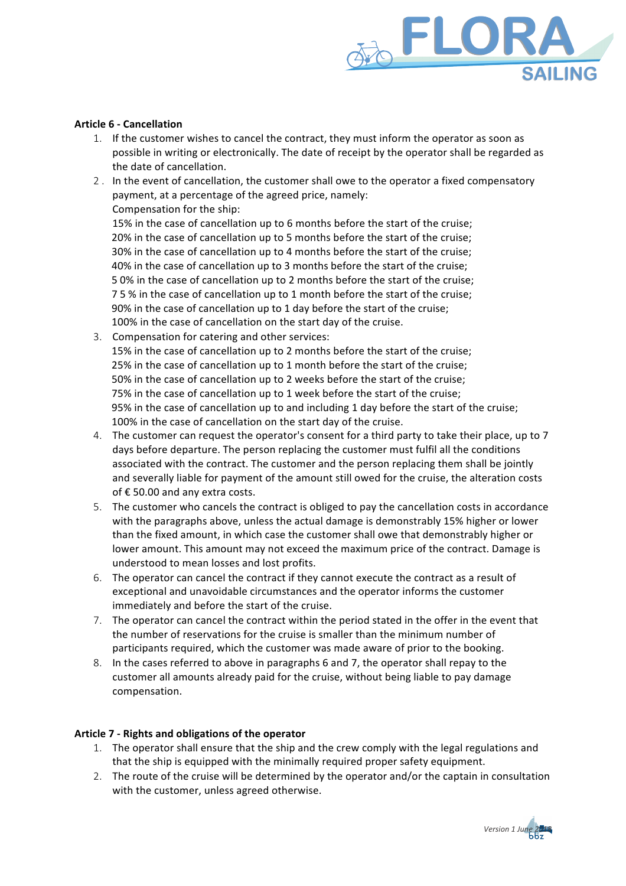

## **Article 6 - Cancellation**

- 1. If the customer wishes to cancel the contract, they must inform the operator as soon as possible in writing or electronically. The date of receipt by the operator shall be regarded as the date of cancellation.
- 2. In the event of cancellation, the customer shall owe to the operator a fixed compensatory payment, at a percentage of the agreed price, namely: Compensation for the ship:

15% in the case of cancellation up to 6 months before the start of the cruise; 20% in the case of cancellation up to 5 months before the start of the cruise; 30% in the case of cancellation up to 4 months before the start of the cruise; 40% in the case of cancellation up to 3 months before the start of the cruise; 5 0% in the case of cancellation up to 2 months before the start of the cruise; 75% in the case of cancellation up to 1 month before the start of the cruise; 90% in the case of cancellation up to 1 day before the start of the cruise; 100% in the case of cancellation on the start day of the cruise.

- 3. Compensation for catering and other services: 15% in the case of cancellation up to 2 months before the start of the cruise; 25% in the case of cancellation up to 1 month before the start of the cruise: 50% in the case of cancellation up to 2 weeks before the start of the cruise; 75% in the case of cancellation up to 1 week before the start of the cruise; 95% in the case of cancellation up to and including 1 day before the start of the cruise; 100% in the case of cancellation on the start day of the cruise.
- 4. The customer can request the operator's consent for a third party to take their place, up to 7 days before departure. The person replacing the customer must fulfil all the conditions associated with the contract. The customer and the person replacing them shall be jointly and severally liable for payment of the amount still owed for the cruise, the alteration costs of  $\epsilon$  50.00 and any extra costs.
- 5. The customer who cancels the contract is obliged to pay the cancellation costs in accordance with the paragraphs above, unless the actual damage is demonstrably 15% higher or lower than the fixed amount, in which case the customer shall owe that demonstrably higher or lower amount. This amount may not exceed the maximum price of the contract. Damage is understood to mean losses and lost profits.
- 6. The operator can cancel the contract if they cannot execute the contract as a result of exceptional and unavoidable circumstances and the operator informs the customer immediately and before the start of the cruise.
- 7. The operator can cancel the contract within the period stated in the offer in the event that the number of reservations for the cruise is smaller than the minimum number of participants required, which the customer was made aware of prior to the booking.
- 8. In the cases referred to above in paragraphs 6 and 7, the operator shall repay to the customer all amounts already paid for the cruise, without being liable to pay damage compensation.

### Article 7 - Rights and obligations of the operator

- 1. The operator shall ensure that the ship and the crew comply with the legal regulations and that the ship is equipped with the minimally required proper safety equipment.
- 2. The route of the cruise will be determined by the operator and/or the captain in consultation with the customer, unless agreed otherwise.

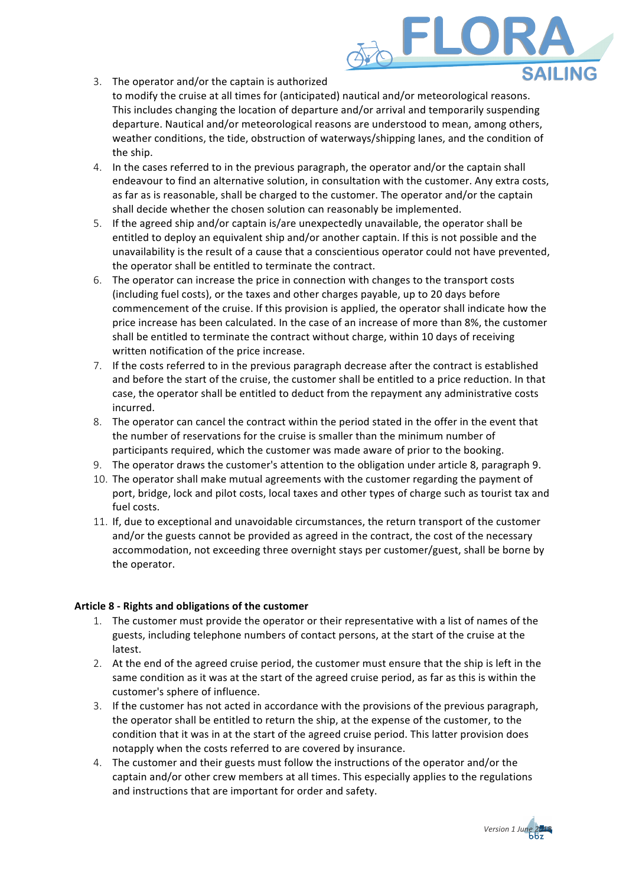3. The operator and/or the captain is authorized

to modify the cruise at all times for (anticipated) nautical and/or meteorological reasons. This includes changing the location of departure and/or arrival and temporarily suspending departure. Nautical and/or meteorological reasons are understood to mean, among others, weather conditions, the tide, obstruction of waterways/shipping lanes, and the condition of the ship.

FLOR

- 4. In the cases referred to in the previous paragraph, the operator and/or the captain shall endeavour to find an alternative solution, in consultation with the customer. Any extra costs, as far as is reasonable, shall be charged to the customer. The operator and/or the captain shall decide whether the chosen solution can reasonably be implemented.
- 5. If the agreed ship and/or captain is/are unexpectedly unavailable, the operator shall be entitled to deploy an equivalent ship and/or another captain. If this is not possible and the unavailability is the result of a cause that a conscientious operator could not have prevented, the operator shall be entitled to terminate the contract.
- 6. The operator can increase the price in connection with changes to the transport costs (including fuel costs), or the taxes and other charges payable, up to 20 days before commencement of the cruise. If this provision is applied, the operator shall indicate how the price increase has been calculated. In the case of an increase of more than 8%, the customer shall be entitled to terminate the contract without charge, within 10 days of receiving written notification of the price increase.
- 7. If the costs referred to in the previous paragraph decrease after the contract is established and before the start of the cruise, the customer shall be entitled to a price reduction. In that case, the operator shall be entitled to deduct from the repayment any administrative costs incurred.
- 8. The operator can cancel the contract within the period stated in the offer in the event that the number of reservations for the cruise is smaller than the minimum number of participants required, which the customer was made aware of prior to the booking.
- 9. The operator draws the customer's attention to the obligation under article 8, paragraph 9.
- 10. The operator shall make mutual agreements with the customer regarding the payment of port, bridge, lock and pilot costs, local taxes and other types of charge such as tourist tax and fuel costs.
- 11. If, due to exceptional and unavoidable circumstances, the return transport of the customer and/or the guests cannot be provided as agreed in the contract, the cost of the necessary accommodation, not exceeding three overnight stays per customer/guest, shall be borne by the operator.

# **Article 8 - Rights and obligations of the customer**

- 1. The customer must provide the operator or their representative with a list of names of the guests, including telephone numbers of contact persons, at the start of the cruise at the latest.
- 2. At the end of the agreed cruise period, the customer must ensure that the ship is left in the same condition as it was at the start of the agreed cruise period, as far as this is within the customer's sphere of influence.
- 3. If the customer has not acted in accordance with the provisions of the previous paragraph, the operator shall be entitled to return the ship, at the expense of the customer, to the condition that it was in at the start of the agreed cruise period. This latter provision does notapply when the costs referred to are covered by insurance.
- 4. The customer and their guests must follow the instructions of the operator and/or the captain and/or other crew members at all times. This especially applies to the regulations and instructions that are important for order and safety.

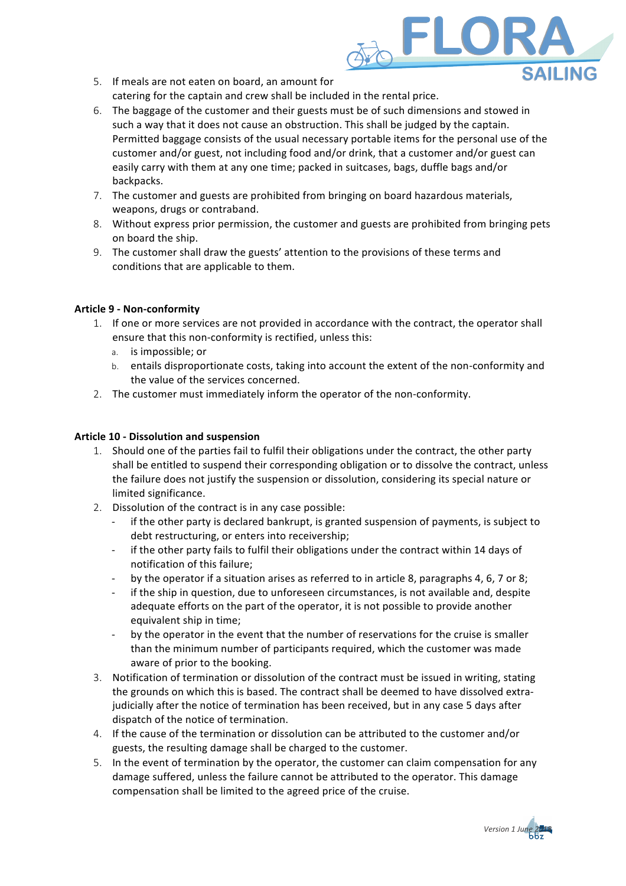

- 5. If meals are not eaten on board, an amount for catering for the captain and crew shall be included in the rental price.
- 6. The baggage of the customer and their guests must be of such dimensions and stowed in such a way that it does not cause an obstruction. This shall be judged by the captain. Permitted baggage consists of the usual necessary portable items for the personal use of the customer and/or guest, not including food and/or drink, that a customer and/or guest can easily carry with them at any one time; packed in suitcases, bags, duffle bags and/or backpacks.
- 7. The customer and guests are prohibited from bringing on board hazardous materials, weapons, drugs or contraband.
- 8. Without express prior permission, the customer and guests are prohibited from bringing pets on board the ship.
- 9. The customer shall draw the guests' attention to the provisions of these terms and conditions that are applicable to them.

## **Article 9 - Non-conformity**

- 1. If one or more services are not provided in accordance with the contract, the operator shall ensure that this non-conformity is rectified, unless this:
	- a. is impossible; or
	- b. entails disproportionate costs, taking into account the extent of the non-conformity and the value of the services concerned.
- 2. The customer must immediately inform the operator of the non-conformity.

## **Article 10 - Dissolution and suspension**

- 1. Should one of the parties fail to fulfil their obligations under the contract, the other party shall be entitled to suspend their corresponding obligation or to dissolve the contract, unless the failure does not justify the suspension or dissolution, considering its special nature or limited significance.
- 2. Dissolution of the contract is in any case possible:
	- if the other party is declared bankrupt, is granted suspension of payments, is subject to debt restructuring, or enters into receivership;
	- if the other party fails to fulfil their obligations under the contract within 14 days of notification of this failure:
	- by the operator if a situation arises as referred to in article 8, paragraphs 4, 6, 7 or 8;
	- if the ship in question, due to unforeseen circumstances, is not available and, despite adequate efforts on the part of the operator, it is not possible to provide another equivalent ship in time:
	- by the operator in the event that the number of reservations for the cruise is smaller than the minimum number of participants required, which the customer was made aware of prior to the booking.
- 3. Notification of termination or dissolution of the contract must be issued in writing, stating the grounds on which this is based. The contract shall be deemed to have dissolved extrajudicially after the notice of termination has been received, but in any case 5 days after dispatch of the notice of termination.
- 4. If the cause of the termination or dissolution can be attributed to the customer and/or guests, the resulting damage shall be charged to the customer.
- 5. In the event of termination by the operator, the customer can claim compensation for any damage suffered, unless the failure cannot be attributed to the operator. This damage compensation shall be limited to the agreed price of the cruise.

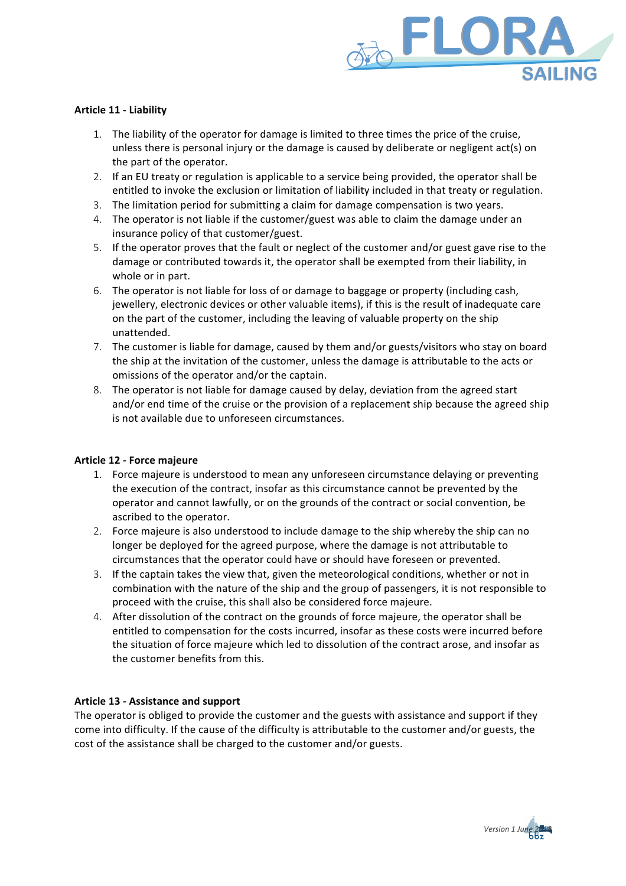

## **Article 11 - Liability**

- 1. The liability of the operator for damage is limited to three times the price of the cruise. unless there is personal injury or the damage is caused by deliberate or negligent act(s) on the part of the operator.
- 2. If an EU treaty or regulation is applicable to a service being provided, the operator shall be entitled to invoke the exclusion or limitation of liability included in that treaty or regulation.
- 3. The limitation period for submitting a claim for damage compensation is two years.
- 4. The operator is not liable if the customer/guest was able to claim the damage under an insurance policy of that customer/guest.
- 5. If the operator proves that the fault or neglect of the customer and/or guest gave rise to the damage or contributed towards it, the operator shall be exempted from their liability, in whole or in part.
- 6. The operator is not liable for loss of or damage to baggage or property (including cash, jewellery, electronic devices or other valuable items), if this is the result of inadequate care on the part of the customer, including the leaving of valuable property on the ship unattended.
- 7. The customer is liable for damage, caused by them and/or guests/visitors who stay on board the ship at the invitation of the customer, unless the damage is attributable to the acts or omissions of the operator and/or the captain.
- 8. The operator is not liable for damage caused by delay, deviation from the agreed start and/or end time of the cruise or the provision of a replacement ship because the agreed ship is not available due to unforeseen circumstances.

### **Article 12 - Force majeure**

- 1. Force majeure is understood to mean any unforeseen circumstance delaying or preventing the execution of the contract, insofar as this circumstance cannot be prevented by the operator and cannot lawfully, or on the grounds of the contract or social convention, be ascribed to the operator.
- 2. Force majeure is also understood to include damage to the ship whereby the ship can no longer be deployed for the agreed purpose, where the damage is not attributable to circumstances that the operator could have or should have foreseen or prevented.
- 3. If the captain takes the view that, given the meteorological conditions, whether or not in combination with the nature of the ship and the group of passengers, it is not responsible to proceed with the cruise, this shall also be considered force majeure.
- 4. After dissolution of the contract on the grounds of force majeure, the operator shall be entitled to compensation for the costs incurred, insofar as these costs were incurred before the situation of force majeure which led to dissolution of the contract arose, and insofar as the customer benefits from this.

## **Article 13 - Assistance and support**

The operator is obliged to provide the customer and the guests with assistance and support if they come into difficulty. If the cause of the difficulty is attributable to the customer and/or guests, the cost of the assistance shall be charged to the customer and/or guests.